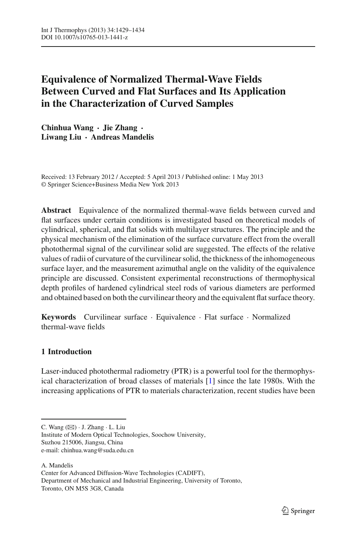# **Equivalence of Normalized Thermal-Wave Fields Between Curved and Flat Surfaces and Its Application in the Characterization of Curved Samples**

**Chinhua Wang · Jie Zhang · Liwang Liu · Andreas Mandelis**

Received: 13 February 2012 / Accepted: 5 April 2013 / Published online: 1 May 2013 © Springer Science+Business Media New York 2013

**Abstract** Equivalence of the normalized thermal-wave fields between curved and flat surfaces under certain conditions is investigated based on theoretical models of cylindrical, spherical, and flat solids with multilayer structures. The principle and the physical mechanism of the elimination of the surface curvature effect from the overall photothermal signal of the curvilinear solid are suggested. The effects of the relative values of radii of curvature of the curvilinear solid, the thickness of the inhomogeneous surface layer, and the measurement azimuthal angle on the validity of the equivalence principle are discussed. Consistent experimental reconstructions of thermophysical depth profiles of hardened cylindrical steel rods of various diameters are performed and obtained based on both the curvilinear theory and the equivalent flat surface theory.

**Keywords** Curvilinear surface · Equivalence · Flat surface · Normalized thermal-wave fields

## **1 Introduction**

Laser-induced photothermal radiometry (PTR) is a powerful tool for the thermophysical characterization of broad classes of materials [\[1\]](#page-5-0) since the late 1980s. With the increasing applications of PTR to materials characterization, recent studies have been

Institute of Modern Optical Technologies, Soochow University, Suzhou 215006, Jiangsu, China e-mail: chinhua.wang@suda.edu.cn

A. Mandelis Center for Advanced Diffusion-Wave Technologies (CADIFT), Department of Mechanical and Industrial Engineering, University of Toronto, Toronto, ON M5S 3G8, Canada

C. Wang  $(\boxtimes) \cdot$  J. Zhang  $\cdot$  L. Liu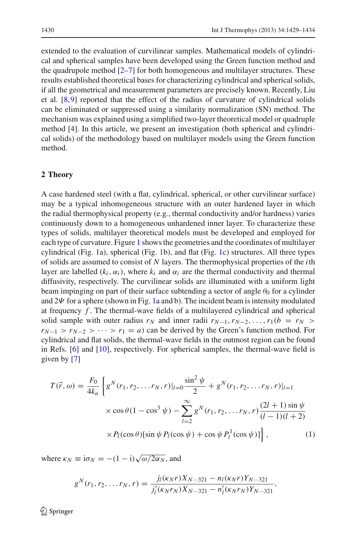extended to the evaluation of curvilinear samples. Mathematical models of cylindrical and spherical samples have been developed using the Green function method and the quadrupole method  $[2-7]$  $[2-7]$  for both homogeneous and multilayer structures. These results established theoretical bases for characterizing cylindrical and spherical solids, if all the geometrical and measurement parameters are precisely known. Recently, Liu et al. [\[8,](#page-5-3)[9\]](#page-5-4) reported that the effect of the radius of curvature of cylindrical solids can be eliminated or suppressed using a similarity normalization (SN) method. The mechanism was explained using a simplified two-layer theoretical model or quadruple method [\[4](#page-5-5)]. In this article, we present an investigation (both spherical and cylindrical solids) of the methodology based on multilayer models using the Green function method.

#### **2 Theory**

A case hardened steel (with a flat, cylindrical, spherical, or other curvilinear surface) may be a typical inhomogeneous structure with an outer hardened layer in which the radial thermophysical property (e.g., thermal conductivity and/or hardness) varies continuously down to a homogeneous unhardened inner layer. To characterize these types of solids, multilayer theoretical models must be developed and employed for each type of curvature. Figure [1](#page-2-0) shows the geometries and the coordinates of multilayer cylindrical (Fig. [1a](#page-2-0)), spherical (Fig. [1b](#page-2-0)), and flat (Fig. [1c](#page-2-0)) structures. All three types of solids are assumed to consist of *N* layers. The thermophysical properties of the *i*th layer are labelled  $(k_i, \alpha_i)$ , where  $k_i$  and  $\alpha_i$  are the thermal conductivity and thermal diffusivity, respectively. The curvilinear solids are illuminated with a uniform light beam impinging on part of their surface subtending a sector of angle  $\theta_0$  for a cylinder and  $2\Psi$  for a sphere (shown in Fig. [1a](#page-2-0) and b). The incident beam is intensity modulated at frequency *f* . The thermal-wave fields of a multilayered cylindrical and spherical solid sample with outer radius  $r_N$  and inner radii  $r_{N-1}, r_{N-2}, \ldots, r_1(b = r_N >$  $r_{N-1} > r_{N-2} > \cdots > r_1 = a$ ) can be derived by the Green's function method. For cylindrical and flat solids, the thermal-wave fields in the outmost region can be found in Refs. [\[6](#page-5-6)] and [\[10\]](#page-5-7), respectively. For spherical samples, the thermal-wave field is given by [\[7\]](#page-5-2)

$$
T(\vec{r}, \omega) = \frac{F_0}{4k_n} \left\{ g^N(r_1, r_2, \dots r_N, r) |_{l=0} \frac{\sin^2 \psi}{2} + g^N(r_1, r_2, \dots r_N, r) |_{l=1} \right\}
$$

$$
\times \cos \theta (1 - \cos^3 \psi) - \sum_{l=2}^{\infty} g^N(r_1, r_2, \dots r_N, r) \frac{(2l+1)\sin \psi}{(l-1)(l+2)} \right\}
$$

$$
\times P_l(\cos \theta) [\sin \psi P_l(\cos \psi) + \cos \psi P_l^1(\cos \psi)] \Big\}, \tag{1}
$$

where  $\kappa_N \equiv i\sigma_N = -(1 - i)\sqrt{\omega/2\alpha_N}$ , and

$$
g^{N}(r_{1},r_{2},\ldots r_{N},r) = \frac{j_{l}(\kappa_{N}r)X_{N\cdots 321} - n_{l}(\kappa_{N}r)Y_{N\cdots 321}}{j'_{l}(\kappa_{N}r_{N})X_{N\cdots 321} - n'_{l}(\kappa_{N}r_{N})Y_{N\cdots 321}},
$$

 $\circled{2}$  Springer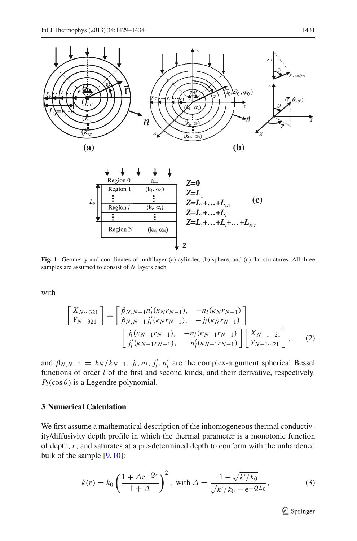

<span id="page-2-0"></span>**Fig. 1** Geometry and coordinates of multilayer (a) cylinder, (b) sphere, and (c) flat structures. All three samples are assumed to consist of *N* layers each

with

$$
\begin{bmatrix}\nX_{N\cdots 321} \\
Y_{N\cdots 321}\n\end{bmatrix} = \begin{bmatrix}\n\beta_{N,N-1}n'_l(\kappa_N r_{N-1}), & -n_l(\kappa_N r_{N-1}) \\
\beta_{N,N-1}j'_l(\kappa_N r_{N-1}), & -j_l(\kappa_N r_{N-1})\n\end{bmatrix}
$$
\n
$$
\begin{bmatrix}\nj(\kappa_{N-1}r_{N-1}), & -n_l(\kappa_{N-1}r_{N-1}) \\
j'_l(\kappa_{N-1}r_{N-1}), & -n'_l(\kappa_{N-1}r_{N-1})\n\end{bmatrix} \begin{bmatrix}\nX_{N-1\cdots 21} \\
Y_{N-1\cdots 21}\n\end{bmatrix},
$$
\n(2)

and  $\beta_{N,N-1} = k_N / k_{N-1}$ . *j<sub>l</sub>*, *n<sub>l</sub>*, *j<sub>l</sub>*, *n<sub>l</sub>* are the complex-argument spherical Bessel functions of order *l* of the first and second kinds, and their derivative, respectively.  $P_l(\cos\theta)$  is a Legendre polynomial.

#### **3 Numerical Calculation**

We first assume a mathematical description of the inhomogeneous thermal conductivity/diffusivity depth profile in which the thermal parameter is a monotonic function of depth, *r*, and saturates at a pre-determined depth to conform with the unhardened bulk of the sample [\[9](#page-5-4)[,10](#page-5-7)]:

$$
k(r) = k_0 \left(\frac{1 + \Delta e^{-Qr}}{1 + \Delta}\right)^2, \text{ with } \Delta = \frac{1 - \sqrt{k'/k_0}}{\sqrt{k'/k_0} - e^{-QL_0}},\tag{3}
$$

<sup>2</sup> Springer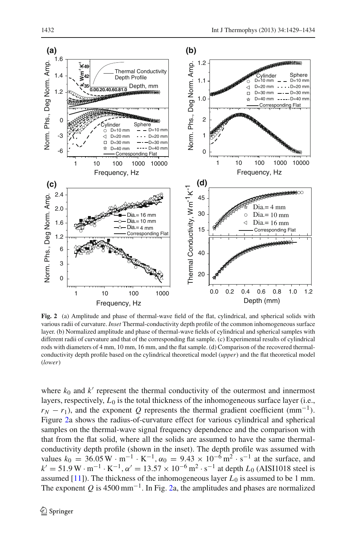

<span id="page-3-0"></span>**Fig. 2** (a) Amplitude and phase of thermal-wave field of the flat, cylindrical, and spherical solids with various radii of curvature. *Inset* Thermal-conductivity depth profile of the common inhomogeneous surface layer. (b) Normalized amplitude and phase of thermal-wave fields of cylindrical and spherical samples with different radii of curvature and that of the corresponding flat sample. (c) Experimental results of cylindrical rods with diameters of 4 mm, 10 mm, 16 mm, and the flat sample. (d) Comparison of the recovered thermalconductivity depth profile based on the cylindrical theoretical model (*upper*) and the flat theoretical model (*lower*)

where  $k_0$  and  $k'$  represent the thermal conductivity of the outermost and innermost layers, respectively,  $L_0$  is the total thickness of the inhomogeneous surface layer (i.e.,  $r_N - r_1$ ), and the exponent *Q* represents the thermal gradient coefficient (mm<sup>-1</sup>). Figure [2a](#page-3-0) shows the radius-of-curvature effect for various cylindrical and spherical samples on the thermal-wave signal frequency dependence and the comparison with that from the flat solid, where all the solids are assumed to have the same thermalconductivity depth profile (shown in the inset). The depth profile was assumed with values  $k_0 = 36.05 \,\text{W} \cdot \text{m}^{-1} \cdot \text{K}^{-1}$ ,  $\alpha_0 = 9.43 \times 10^{-6} \,\text{m}^2 \cdot \text{s}^{-1}$  at the surface, and  $k' = 51.9 \,\text{W} \cdot \text{m}^{-1} \cdot \text{K}^{-1}$ ,  $\alpha' = 13.57 \times 10^{-6} \,\text{m}^2 \cdot \text{s}^{-1}$  at depth  $L_0$  (AISI1018 steel is assumed  $[11]$ ). The thickness of the inhomogeneous layer  $L_0$  is assumed to be 1 mm. The exponent  $Q$  is 4500 mm<sup>-1</sup>. In Fig. [2a](#page-3-0), the amplitudes and phases are normalized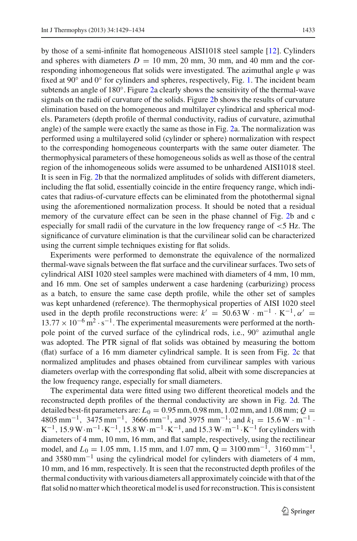by those of a semi-infinite flat homogeneous AISI1018 steel sample [\[12\]](#page-5-9). Cylinders and spheres with diameters  $D = 10$  mm, 20 mm, 30 mm, and 40 mm and the corresponding inhomogeneous flat solids were investigated. The azimuthal angle  $\varphi$  was fixed at 90° and 0° for cylinders and spheres, respectively, Fig. [1.](#page-2-0) The incident beam subtends an angle of 180◦. Figure [2a](#page-3-0) clearly shows the sensitivity of the thermal-wave signals on the radii of curvature of the solids. Figure [2b](#page-3-0) shows the results of curvature elimination based on the homogeneous and multilayer cylindrical and spherical models. Parameters (depth profile of thermal conductivity, radius of curvature, azimuthal angle) of the sample were exactly the same as those in Fig. [2a](#page-3-0). The normalization was performed using a multilayered solid (cylinder or sphere) normalization with respect to the corresponding homogeneous counterparts with the same outer diameter. The thermophysical parameters of these homogeneous solids as well as those of the central region of the inhomogeneous solids were assumed to be unhardened AISI1018 steel. It is seen in Fig. [2b](#page-3-0) that the normalized amplitudes of solids with different diameters, including the flat solid, essentially coincide in the entire frequency range, which indicates that radius-of-curvature effects can be eliminated from the photothermal signal using the aforementioned normalization process. It should be noted that a residual memory of the curvature effect can be seen in the phase channel of Fig. [2b](#page-3-0) and c especially for small radii of the curvature in the low frequency range of <5 Hz. The significance of curvature elimination is that the curvilinear solid can be characterized using the current simple techniques existing for flat solids.

Experiments were performed to demonstrate the equivalence of the normalized thermal-wave signals between the flat surface and the curvilinear surfaces. Two sets of cylindrical AISI 1020 steel samples were machined with diameters of 4 mm, 10 mm, and 16 mm. One set of samples underwent a case hardening (carburizing) process as a batch, to ensure the same case depth profile, while the other set of samples was kept unhardened (reference). The thermophysical properties of AISI 1020 steel used in the depth profile reconstructions were:  $k' = 50.63 \,\text{W} \cdot \text{m}^{-1} \cdot \text{K}^{-1}$ ,  $\alpha' =$  $13.77 \times 10^{-6}$  m<sup>2</sup> · s<sup>-1</sup>. The experimental measurements were performed at the northpole point of the curved surface of the cylindrical rods, i.e., 90° azimuthal angle was adopted. The PTR signal of flat solids was obtained by measuring the bottom (flat) surface of a 16 mm diameter cylindrical sample. It is seen from Fig. [2c](#page-3-0) that normalized amplitudes and phases obtained from curvilinear samples with various diameters overlap with the corresponding flat solid, albeit with some discrepancies at the low frequency range, especially for small diameters.

The experimental data were fitted using two different theoretical models and the reconstructed depth profiles of the thermal conductivity are shown in Fig. [2d](#page-3-0). The detailed best-fit parameters are:  $L_0 = 0.95$  mm,  $0.98$  mm,  $1.02$  mm, and  $1.08$  mm;  $Q =$ 4805 mm<sup>-1</sup>, 3475 mm<sup>-1</sup>, 3666 mm<sup>-1</sup>, and 3975 mm<sup>-1</sup>; and  $k_1 = 15.6 \,\text{W} \cdot \text{m}^{-1}$ .  $K^{-1}$ , 15.9 W·m<sup>-1</sup> · K<sup>-1</sup>, 15.8 W·m<sup>-1</sup> · K<sup>-1</sup>, and 15.3 W·m<sup>-1</sup> · K<sup>-1</sup> for cylinders with diameters of 4 mm, 10 mm, 16 mm, and flat sample, respectively, using the rectilinear model, and *L*<sub>0</sub> = 1.05 mm, 1.15 mm, and 1.07 mm, Q = 3100 mm<sup>-1</sup>, 3160 mm<sup>-1</sup>, and 3580 mm<sup>-1</sup> using the cylindrical model for cylinders with diameters of 4 mm, 10 mm, and 16 mm, respectively. It is seen that the reconstructed depth profiles of the thermal conductivity with various diameters all approximately coincide with that of the flat solid no matter which theoretical model is used for reconstruction. This is consistent